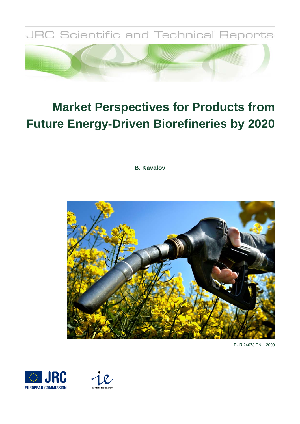

# **Market Perspectives for Products from Future Energy-Driven Biorefineries by 2020**

**B. Kavalov**



EUR 24073 EN – 2009



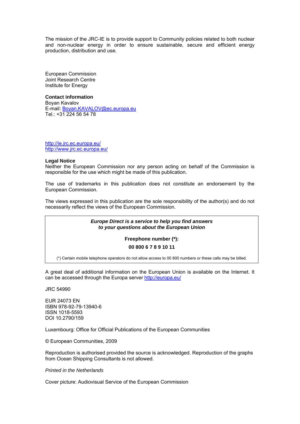The mission of the JRC-IE is to provide support to Community policies related to both nuclear and non-nuclear energy in order to ensure sustainable, secure and efficient energy production, distribution and use.

European Commission Joint Research Centre Institute for Energy

**Contact information**  Boyan Kavalov E-mail: Boyan.KAVALOV@ec.europa.eu Tel.: +31 224 56 54 78

http://ie.jrc.ec.europa.eu/ http://www.jrc.ec.europa.eu/

#### **Legal Notice**

Neither the European Commission nor any person acting on behalf of the Commission is responsible for the use which might be made of this publication.

The use of trademarks in this publication does not constitute an endorsement by the European Commission.

The views expressed in this publication are the sole responsibility of the author(s) and do not necessarily reflect the views of the European Commission.

> *Europe Direct is a service to help you find answers to your questions about the European Union*

> > **Freephone number (\*):**

**00 800 6 7 8 9 10 11** 

(\*) Certain mobile telephone operators do not allow access to 00 800 numbers or these calls may be billed.

A great deal of additional information on the European Union is available on the Internet. It can be accessed through the Europa server http://europa.eu/

JRC 54990

EUR 24073 EN ISBN 978-92-79-13940-6 ISSN 1018-5593 DOI 10.2790/159

Luxembourg: Office for Official Publications of the European Communities

© European Communities, 2009

Reproduction is authorised provided the source is acknowledged. Reproduction of the graphs from Ocean Shipping Consultants is not allowed.

*Printed in the Netherlands* 

Cover picture: Audiovisual Service of the European Commission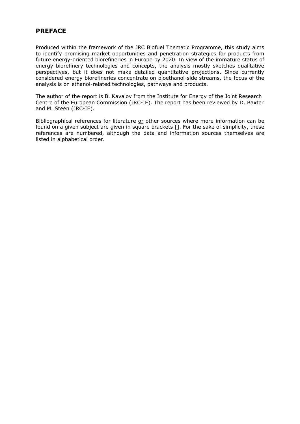## **PREFACE**

Produced within the framework of the JRC Biofuel Thematic Programme, this study aims to identify promising market opportunities and penetration strategies for products from future energy-oriented biorefineries in Europe by 2020. In view of the immature status of energy biorefinery technologies and concepts, the analysis mostly sketches qualitative perspectives, but it does not make detailed quantitative projections. Since currently considered energy biorefineries concentrate on bioethanol-side streams, the focus of the analysis is on ethanol-related technologies, pathways and products.

The author of the report is B. Kavalov from the Institute for Energy of the Joint Research Centre of the European Commission (JRC-IE). The report has been reviewed by D. Baxter and M. Steen (JRC-IE).

Bibliographical references for literature or other sources where more information can be found on a given subject are given in square brackets []. For the sake of simplicity, these references are numbered, although the data and information sources themselves are listed in alphabetical order.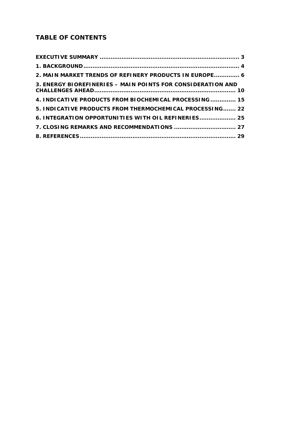# **TABLE OF CONTENTS**

| 2. MAIN MARKET TRENDS OF REFINERY PRODUCTS IN EUROPE 6      |
|-------------------------------------------------------------|
| 3. ENERGY BIOREFINERIES - MAIN POINTS FOR CONSIDERATION AND |
| 4. INDICATIVE PRODUCTS FROM BIOCHEMICAL PROCESSING 15       |
| 5. INDICATIVE PRODUCTS FROM THERMOCHEMICAL PROCESSING 22    |
| 6. INTEGRATION OPPORTUNITIES WITH OIL REFINERIES 25         |
|                                                             |
|                                                             |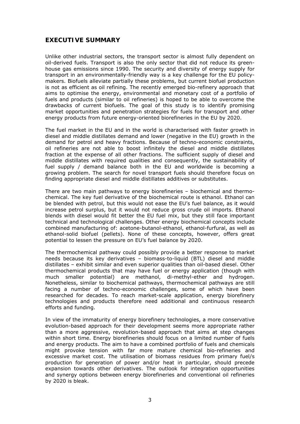## **EXECUTIVE SUMMARY**

Unlike other industrial sectors, the transport sector is almost fully dependent on oil-derived fuels. Transport is also the only sector that did not reduce its greenhouse gas emissions since 1990. The security and diversity of energy supply for transport in an environmentally-friendly way is a key challenge for the EU policymakers. Biofuels alleviate partially these problems, but current biofuel production is not as efficient as oil refining. The recently emerged bio-refinery approach that aims to optimise the energy, environmental and monetary cost of a portfolio of fuels and products (similar to oil refineries) is hoped to be able to overcome the drawbacks of current biofuels. The goal of this study is to identify promising market opportunities and penetration strategies for fuels for transport and other energy products from future energy-oriented biorefineries in the EU by 2020.

The fuel market in the EU and in the world is characterised with faster growth in diesel and middle distillates demand and lower (negative in the EU) growth in the demand for petrol and heavy fractions. Because of techno-economic constraints, oil refineries are not able to boost infinitely the diesel and middle distillates fraction at the expense of all other fractions. The sufficient supply of diesel and middle distillates with required qualities and consequently, the sustainability of fuel supply / demand balance both in the EU and worldwide is becoming a growing problem. The search for novel transport fuels should therefore focus on finding appropriate diesel and middle distillates additives or substitutes.

There are two main pathways to energy biorefineries – biochemical and thermochemical. The key fuel derivative of the biochemical route is ethanol. Ethanol can be blended with petrol, but this would not ease the EU's fuel balance, as it would increase petrol surplus, but it would not reduce gross crude oil imports. Ethanol blends with diesel would fit better the EU fuel mix, but they still face important technical and technological challenges. Other energy biochemical concepts include combined manufacturing of: acetone-butanol-ethanol, ethanol-furfural, as well as ethanol-solid biofuel (pellets). None of these concepts, however, offers great potential to lessen the pressure on EU's fuel balance by 2020.

The thermochemical pathway could possibly provide a better response to market needs because its key derivatives – biomass-to-liquid (BTL) diesel and middle distillates – exhibit similar and even superior qualities than oil-based diesel. Other thermochemical products that may have fuel or energy application (though with much smaller potential) are methanol, di-methyl-ether and hydrogen. Nonetheless, similar to biochemical pathways, thermochemical pathways are still facing a number of techno-economic challenges, some of which have been researched for decades. To reach market-scale application, energy biorefinery technologies and products therefore need additional and continuous research efforts and funding.

In view of the immaturity of energy biorefinery technologies, a more conservative evolution-based approach for their development seems more appropriate rather than a more aggressive, revolution-based approach that aims at step changes within short time. Energy biorefineries should focus on a limited number of fuels and energy products. The aim to have a combined portfolio of fuels and chemicals might provoke tension with far more mature chemical bio-refineries and excessive market cost. The utilisation of biomass residues from primary fuel/s production for generation of power and/or heat in particular, should precede expansion towards other derivatives. The outlook for integration opportunities and synergy options between energy biorefineries and conventional oil refineries by 2020 is bleak.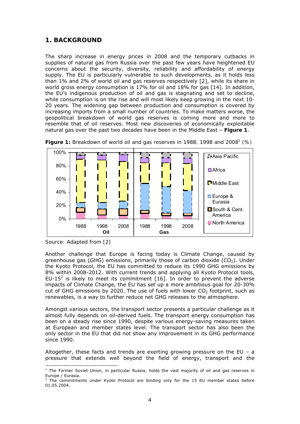## **1. BACKGROUND**

The sharp increase in energy prices in 2008 and the temporary cutbacks in supplies of natural gas from Russia over the past few years have heightened EU concerns about the security, diversity, reliability and affordability of energy supply. The EU is particularly vulnerable to such developments, as it holds less than 1% and 2% of world oil and gas reserves respectively [2], while its share in world gross energy consumption is 17% for oil and 18% for gas [14]. In addition, the EU's indigenous production of oil and gas is stagnating and set to decline, while consumption is on the rise and will most likely keep growing in the next 10- 20 years. The widening gap between production and consumption is covered by increasing imports from a small number of countries. To make matters worse, the geopolitical breakdown of world gas reserves is coming more and more to resemble that of oil reserves. Most new discoveries of economically exploitable natural gas over the past two decades have been in the Middle East – *Figure 1*.



**Figure 1:** Breakdown of world oil and gas reserves in 1988, 1998 and 2008<sup>1</sup> (%)

 $\overline{a}$ 

Another challenge that Europe is facing today is Climate Change, caused by greenhouse gas (GHG) emissions, primarily those of carbon dioxide  $(CO<sub>2</sub>)$ . Under the Kyoto Protocol, the EU has committed to reduce its 1990 GHG emissions by 8% within 2008-2012. With current trends and applying all Kyoto Protocol tools, EU-15<sup>2</sup> is likely to meet its commitment [16]. In order to prevent the adverse impacts of Climate Change, the EU has set up a more ambitious goal for 20-30% cut of GHG emissions by 2020. The use of fuels with lower  $CO<sub>2</sub>$  footprint, such as renewables, is a way to further reduce net GHG releases to the atmosphere.

Amongst various sectors, the transport sector presents a particular challenge as it almost fully depends on oil-derived fuels. The transport energy consumption has been on a steady rise since 1990, despite various energy-saving measures taken at European and member states level. The transport sector has also been the only sector in the EU that did not show any improvement in its GHG performance since 1990.

Altogether, these facts and trends are exerting growing pressure on the EU – a pressure that extends well beyond the field of energy, transport and the

*Source: Adapted from [2]* 

<sup>&</sup>lt;sup>1</sup> The Former Soviet Union, in particular Russia, holds the vast majority of oil and gas reserves in Europe / Eurasia.

 $2$  The commitments under Kyoto Protocol are binding only for the 15 EU member states before 01.05.2004.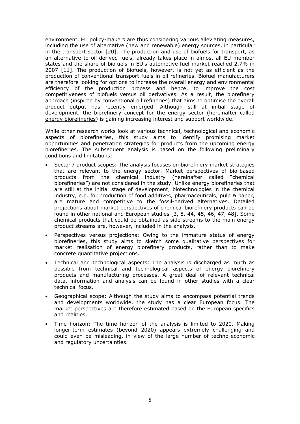environment. EU policy-makers are thus considering various alleviating measures, including the use of alternative (new and renewable) energy sources, in particular in the transport sector [20]. The production and use of biofuels for transport, as an alternative to oil-derived fuels, already takes place in almost all EU member states and the share of biofuels in EU's automotive fuel market reached 2.7% in 2007 [11]. The production of biofuels, however, is not yet as efficient as the production of conventional transport fuels in oil refineries. Biofuel manufacturers are therefore looking for options to increase the overall energy and environmental efficiency of the production process and hence, to improve the cost competitiveness of biofuels versus oil derivatives. As a result, the biorefinery approach (inspired by conventional oil refineries) that aims to optimise the overall product output has recently emerged. Although still at initial stage of development, the biorefinery concept *for the energy sector* (hereinafter called energy biorefineries) is gaining increasing interest and support worldwide.

While other research works look at various technical, technological and economic aspects of biorefineries, this study aims to identify promising market opportunities and penetration strategies for products from the upcoming energy biorefineries. The subsequent analysis is based on the following preliminary conditions and limitations:

- Sector / product scopes: The analysis focuses on biorefinery market strategies that are relevant to the energy sector. Market perspectives of bio-based products from the chemical industry (hereinafter called "chemical biorefineries") are not considered in the study. Unlike energy biorefineries that are still at the initial stage of development, biotechnologies in the chemical industry, e.g. for production of food additives, pharmaceuticals, pulp & paper, are mature and competitive to the fossil-derived alternatives. Detailed projections about market perspectives of chemical biorefinery products can be found in other national and European studies [3, 8, 44, 45, 46, 47, 48]. Some chemical products that could be obtained as side streams to the main energy product streams are, however, included in the analysis.
- Perspectives versus projections: Owing to the immature status of energy biorefineries, this study aims to sketch some *qualitative perspectives* for market realisation of energy biorefinery products, rather than to make concrete *quantitative projections*.
- Technical and technological aspects: The analysis is discharged as much as possible from technical and technological aspects of energy biorefinery products and manufacturing processes. A great deal of relevant technical data, information and analysis can be found in other studies with a clear technical focus.
- Geographical scope: Although the study aims to encompass potential trends and developments worldwide, the study has a clear European focus. The market perspectives are therefore estimated based on the European specifics and realities.
- Time horizon: The time horizon of the analysis is limited to 2020. Making longer-term estimates (beyond 2020) appears extremely challenging and could even be misleading, in view of the large number of techno-economic and regulatory uncertainties.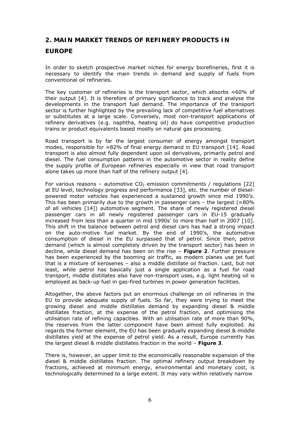## **2. MAIN MARKET TRENDS OF REFINERY PRODUCTS IN**

## **EUROPE**

In order to sketch prospective market niches for energy biorefineries, first it is necessary to identify the main trends in demand and supply of fuels from conventional oil refineries.

The key customer of refineries is the transport sector, which absorbs ≈60% of their output [4]. It is therefore of primary significance to track and analyse the developments in the transport fuel demand. The importance of the transport sector is further highlighted by the prevailing lack of competitive fuel alternatives or substitutes at a large scale. Conversely, most non-transport applications of refinery derivatives (e.g. naphtha, heating oil) do have competitive production trains or product equivalents based mostly on natural gas processing.

Road transport is by far the largest consumer of energy amongst transport modes, responsible for ≈82% of final energy demand in EU transport [14]. Road transport is also almost fully dependent upon oil derivatives, primarily petrol and diesel. The fuel consumption patterns in the automotive sector in reality define the supply profile of European refineries especially in view that road transport alone takes up more than half of the refinery output [4].

For various reasons – automotive  $CO<sub>2</sub>$  emission commitments / regulations [22] at EU level, technology progress and performance [33], etc. the number of dieselpowered motor vehicles has experienced a sustained growth since mid 1990's. This has been primarily due to the growth in passenger cars – the largest ( $\approx 80\%$ ) of all vehicles [14]) automotive segment. The share of newly registered diesel passenger cars in all newly registered passenger cars in EU-15 gradually increased from less than a quarter in mid 1990s' to more than half in 2007 [10]. This shift in the balance between petrol and diesel cars has had a strong impact on the auto-motive fuel market. By the end of 1990's, the automotive consumption of diesel in the EU surpassed that of petrol. Since then, petrol demand (which is almost completely driven by the transport sector) has been in decline, while diesel demand has been on the rise – *Figure 2*. Further pressure has been experienced by the booming air traffic, as modern planes use jet fuel that is a mixture of kerosenes – also a middle distillate oil fraction. Last, but not least, while petrol has basically just a single application as a fuel for road transport, middle distillates also have non-transport uses, e.g. light heating oil is employed as back-up fuel in gas-fired turbines in power generation facilities.

Altogether, the above factors put an enormous challenge on oil refineries in the EU to provide adequate supply of fuels. So far, they were trying to meet the growing diesel and middle distillates demand by expanding diesel & middle distillates fraction, at the expense of the petrol fraction, and optimising the utilisation rate of refining capacities. With an utilisation rate of more than 90%, the reserves from the latter component have been almost fully exploited. As regards the former element, the EU has been gradually expanding diesel & middle distillates yield at the expense of petrol yield. As a result, Europe currently has the largest diesel & middle distillates fraction in the world – *Figure 3*.

There is, however, an upper limit to the economically reasonable expansion of the diesel & middle distillates fraction. The optimal refinery output breakdown by fractions, achieved at minimum energy, environmental and monetary cost, is technologically determined to a large extent. It may vary within relatively narrow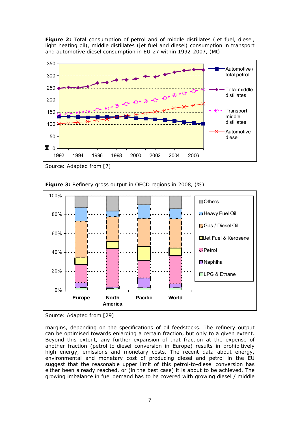*Figure 2: Total consumption of petrol and of middle distillates (jet fuel, diesel,*  light heating oil), middle distillates (jet fuel and diesel) consumption in transport *and automotive diesel consumption in EU-27 within 1992-2007, (Mt)* 



*Source: Adapted from [7]* 



*Figure 3: Refinery gross output in OECD regions in 2008, (%)* 

*Source: Adapted from [29]* 

margins, depending on the specifications of oil feedstocks. The refinery output can be optimised towards enlarging a certain fraction, but only to a given extent. Beyond this extent, any further expansion of that fraction at the expense of another fraction (petrol-to-diesel conversion in Europe) results in prohibitively high energy, emissions and monetary costs. The recent data about energy, environmental and monetary cost of producing diesel and petrol in the EU suggest that the reasonable upper limit of this petrol-to-diesel conversion has either been already reached, or (in the best case) it is about to be achieved. The growing imbalance in fuel demand has to be covered with growing diesel / middle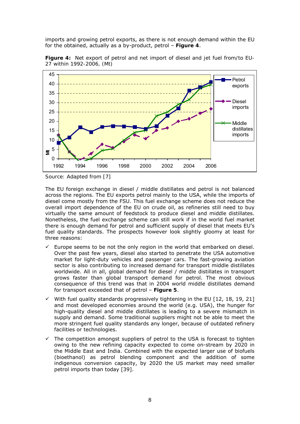imports and growing petrol exports, as there is not enough demand within the EU for the obtained, actually as a by-product, petrol – *Figure 4*.



*Figure 4: Net export of petrol and net import of diesel and jet fuel from/to EU-27 within 1992-2006, (Mt)* 

*Source: Adapted from [7]* 

The EU foreign exchange in diesel / middle distillates and petrol is not balanced across the regions. The EU exports petrol mainly to the USA, while the imports of diesel come mostly from the FSU. This fuel exchange scheme does *not* reduce the overall import dependence of the EU on crude oil, as refineries still need to buy virtually the same amount of feedstock to produce diesel and middle distillates. Nonetheless, the fuel exchange scheme can still work if in the world fuel market there is enough demand for petrol and sufficient supply of diesel that meets EU's fuel quality standards. The prospects however look slightly gloomy at least for three reasons:

- $\checkmark$  Europe seems to be not the only region in the world that embarked on diesel. Over the past few years, diesel also started to penetrate the USA automotive market for light-duty vehicles and passenger cars. The fast-growing aviation sector is also contributing to increased demand for transport middle distillates worldwide. All in all, global demand for diesel / middle distillates in transport grows faster than global transport demand for petrol. The most obvious consequence of this trend was that in 2004 world middle distillates demand for transport exceeded that of petrol – *Figure 5*.
- With fuel quality standards progressively tightening in the EU [12, 18, 19, 21] and most developed economies around the world (e.g. USA), the hunger for high-quality diesel and middle distillates is leading to a severe mismatch in supply and demand. Some traditional suppliers might not be able to meet the more stringent fuel quality standards any longer, because of outdated refinery facilities or technologies.
- $\checkmark$  The competition amongst suppliers of petrol to the USA is forecast to tighten owing to the new refining capacity expected to come on-stream by 2020 in the Middle East and India. Combined with the expected larger use of biofuels (bioethanol) as petrol blending component and the addition of some indigenous conversion capacity, by 2020 the US market may need smaller petrol imports than today [39].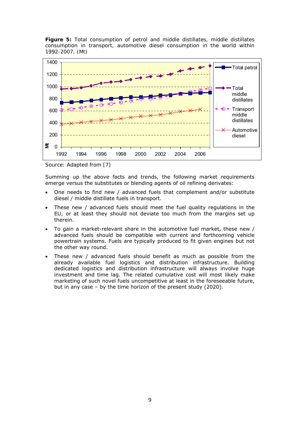*Figure 5: Total consumption of petrol and middle distillates, middle distillates consumption in transport, automotive diesel consumption in the world within 1992-2007, (Mt)* 



*Source: Adapted from [7]* 

Summing up the above facts and trends, the following market requirements emerge versus the substitutes or blending agents of oil refining derivates:

- One needs to find new / advanced fuels that complement and/or substitute diesel / middle distillate fuels in transport.
- These new / advanced fuels should meet the fuel quality regulations in the EU, or at least they should not deviate too much from the margins set up therein.
- To gain a market-relevant share in the automotive fuel market, these new / advanced fuels should be compatible with current and forthcoming vehicle powertrain systems. Fuels are typically produced to fit given engines but not the other way round.
- These new / advanced fuels should benefit as much as possible from the already available fuel logistics and distribution infrastructure. Building dedicated logistics and distribution infrastructure will always involve huge investment and time lag. The related cumulative cost will most likely make marketing of such novel fuels uncompetitive at least in the foreseeable future, but in any case – by the time horizon of the present study (2020).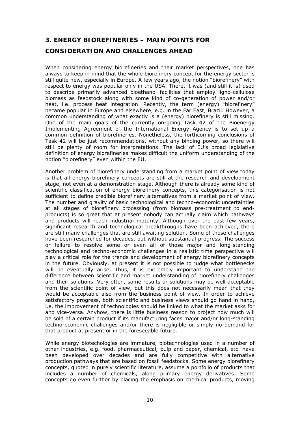## **3. ENERGY BIOREFINERIES – MAIN POINTS FOR**

## **CONSIDERATION AND CHALLENGES AHEAD**

When considering energy biorefineries and their market perspectives, one has always to keep in mind that the whole biorefinery concept for the energy sector is still quite new, especially in Europe. A few years ago, the notion "biorefinery" with respect to energy was popular only in the USA. There, it was (and still it is) used to describe primarily advanced bioethanol facilities that employ ligno-cellulose biomass as feedstock along with some kind of co-generation of power and/or heat, i.e. process heat integration. Recently, the term (energy) "biorefinery" became popular in Europe and elsewhere, e.g. in the Far East, Brazil. However, a common understanding of what exactly is a (energy) biorefinery is still missing. One of the main goals of the currently on-going Task 42 of the Bioenergy Implementing Agreement of the International Energy Agency is to set up a common definition of biorefineries. Nonetheless, the forthcoming conclusions of Task 42 will be just recommendations, without any binding power, so there will still be plenty of room for interpretations. The lack of EU's broad legislative definition of energy biorefineries makes difficult the uniform understanding of the notion "biorefinery" even within the EU.

Another problem of biorefinery understanding from a *market* point of view today is that *all* energy biorefinery concepts are still at the research and development stage, not even at a demonstration stage. Although there is already some kind of *scientific* classification of energy biorefinery concepts, this categorisation is not sufficient to define credible biorefinery alternatives from a *market* point of view. The number and gravity of basic technological and techno-economic uncertainties at all stages of biorefinery processing (from biomass pre-treatment to endproducts) is so great that at present nobody can actually claim which pathways and products will reach industrial maturity. Although over the past few years, significant research and technological breakthroughs have been achieved, there are still many challenges that are still awaiting solution. Some of those challenges have been researched for decades, but without substantial progress. The success or failure to resolve some or even all of those major and long-standing technological and techno-economic challenges in a *realistic* time perspective will play a critical role for the trends and development of energy biorefinery concepts in the future. Obviously, at present it is not possible to judge what bottlenecks will be eventually arise. Thus, it is extremely important to understand the difference between *scientific* and *market* understanding of biorefinery challenges and their solutions. Very often, some results or solutions may be well acceptable from the scientific point of view, but this does not necessarily mean that they would be acceptable also from the business point of view. In order to achieve satisfactory progress, both scientific and business views should go hand in hand, i.e. the improvement of technologies should be linked to what the market asks for and vice-versa. Anyhow, there is little business reason to project how much will be sold of a certain product if its manufacturing faces major and/or long-standing techno-economic challenges and/or there is negligible or simply no demand for that product at present or in the foreseeable future.

While energy biotechologies are immature, biotechnologies used in a number of other industries, e.g. food, pharmaceutical, pulp and paper, chemical, etc. have been developed over decades and are fully competitive with alternative production pathways that are based on fossil feedstocks. Some energy biorefinery concepts, quoted in purely scientific literature, assume a portfolio of products that includes a number of chemicals, along primary energy derivatives. Some concepts go even further by placing the emphasis on chemical products, moving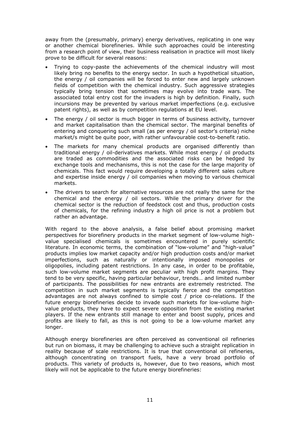away from the (presumably, primary) energy derivatives, replicating in one way or another chemical biorefineries. While such approaches could be interesting from a research point of view, their business realisation in practice will most likely prove to be difficult for several reasons:

- Trying to copy-paste the achievements of the chemical industry will most likely bring no benefits to the energy sector. In such a hypothetical situation, the energy / oil companies will be forced to enter new and largely unknown fields of competition with the chemical industry. Such aggressive strategies typically bring tension that sometimes may evolve into trade wars. The associated total entry cost for the invaders is high by definition. Finally, such incursions may be prevented by various market imperfections (e.g. exclusive patent rights), as well as by competition regulations at EU level.
- The energy / oil sector is much bigger in terms of business activity, turnover and market capitalisation than the chemical sector. The marginal benefits of entering and conquering such small (as per energy / oil sector's criteria) niche market/s might be quite poor, with rather unfavourable cost-to-benefit ratio.
- The markets for many chemical products are organised differently than traditional energy / oil-derivatives markets. While most energy / oil products are traded as commodities and the associated risks can be hedged by exchange tools and mechanisms, this is not the case for the large majority of chemicals. This fact would require developing a totally different sales culture and expertise inside energy / oil companies when moving to various chemical markets.
- The drivers to search for alternative resources are not really the same for the chemical and the energy / oil sectors. While the primary driver for the chemical sector is the reduction of feedstock cost and thus, production costs of chemicals, for the refining industry a high oil price is not a problem but rather an advantage.

With regard to the above analysis, a false belief about promising market perspectives for biorefinery products in the market segment of low-volume highvalue specialised chemicals is sometimes encountered in purely scientific literature. In economic terms, the combination of "low-volume" and "high-value" products implies low market capacity and/or high production costs and/or market imperfections, such as naturally or intentionally imposed monopolies or oligopolies, including patent restrictions. In any case, in order to be profitable, such low-volume market segments are peculiar with high profit margins. They tend to be very specific, having particular behaviour, trends… and limited number of participants. The possibilities for new entrants are extremely restricted. The competition in such market segments is typically fierce and the competition advantages are not always confined to simple cost / price co-relations. If the future energy biorefineries decide to invade such markets for low-volume highvalue products, they have to expect severe opposition from the existing market players. If the new entrants still manage to enter and boost supply, prices and profits are likely to fall, as this is not going to be a *low-volume* market any longer.

Although energy biorefineries are often perceived as conventional oil refineries but run on biomass, it may be challenging to achieve such a straight replication in reality because of scale restrictions. It is true that conventional oil refineries, although concentrating on transport fuels, have a very broad portfolio of products. This variety of products is, however, due to two reasons, which most likely will not be applicable to the future energy biorefineries: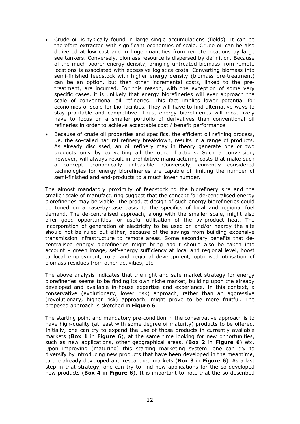- Crude oil is typically found in large single accumulations (fields). It can be therefore extracted with significant economies of scale. Crude oil can be also delivered at low cost and in huge quantities from remote locations by large see tankers. Conversely, biomass resource is dispersed by definition. Because of the much poorer energy density, bringing untreated biomass from remote locations is associated with excessive logistics costs. Converting biomass into semi-finished feedstock with higher energy density (biomass pre-treatment) can be an option, but then other incremental costs, linked to the pretreatment, are incurred. For this reason, with the exception of some very specific cases, it is unlikely that energy biorefineries will ever approach the scale of conventional oil refineries. This fact implies lower potential for economies of scale for bio-facilities. They will have to find alternative ways to stay profitable and competitive. Thus, energy biorefineries will most likely have to focus on a smaller portfolio of derivatives than conventional oil refineries in order to achieve acceptable cost / benefit performance.
- Because of crude oil properties and specifics, the efficient oil refining process, i.e. the so-called natural refinery breakdown, results in a range of products. As already discussed, an oil refinery may in theory generate one or two products only by converting all the other fractions. Such a conversion, however, will always result in prohibitive manufacturing costs that make such a concept economically unfeasible. Conversely, currently considered technologies for energy biorefineries are capable of limiting the number of semi-finished and end-products to a much lower number.

The almost mandatory proximity of feedstock to the biorefinery site and the smaller scale of manufacturing suggest that the concept for de-centralised energy biorefineries may be viable. The product design of such energy biorefineries could be tuned on a case-by-case basis to the specifics of local and regional fuel demand. The de-centralised approach, along with the smaller scale, might also offer good opportunities for useful utilisation of the by-product heat. The incorporation of generation of electricity to be used on and/or nearby the site should not be ruled out either, because of the savings from building expensive transmission infrastructure to remote areas. Some secondary benefits that decentralised energy biorefineries might bring about should also be taken into account – green image, self-energy sufficiency at local and regional level, boost to local employment, rural and regional development, optimised utilisation of biomass residues from other activities, etc.

The above analysis indicates that the right and safe market strategy for energy biorefineries seems to be finding its own niche market, building upon the already developed and available in-house expertise and experience. In this context, a conservative (evolutionary, lower risk) approach, rather than an aggressive (revolutionary, higher risk) approach, might prove to be more fruitful. The proposed approach is sketched in *Figure 6*.

The starting point and mandatory pre-condition in the conservative approach is to have *high-quality* (at least with some degree of maturity) products to be offered. Initially, one can try to expand the use of those products in currently available markets (**Box 1** in *Figure 6*), at the same time looking for new opportunities, such as new applications, other geographical areas, (**Box 2** in *Figure 6*) etc. Upon improving (maturing) this starting marketing system, one can try to diversify by introducing new products that have been developed in the meantime, to the already developed and researched markets (**Box 3** in *Figure 6*). As a last step in that strategy, one can try to find new applications for the so-developed new products (**Box 4** in *Figure 6*). It is important to note that the so-described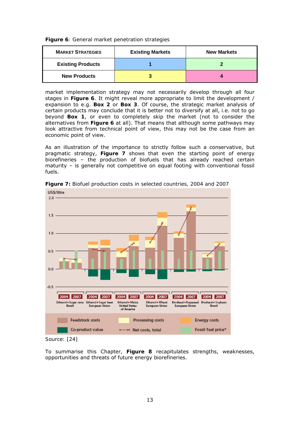*Figure 6: General market penetration strategies*

| <b>MARKET STRATEGIES</b> | <b>Existing Markets</b> | <b>New Markets</b> |
|--------------------------|-------------------------|--------------------|
| <b>Existing Products</b> |                         |                    |
| <b>New Products</b>      |                         |                    |

market implementation strategy may not necessarily develop through all four stages in *Figure 6*. It might reveal more appropriate to limit the development / expansion to e.g. **Box 2** or **Box 3**. Of course, the strategic market analysis of certain products may conclude that it is better not to diversify at all, i.e. not to go beyond **Box 1**, or even to completely skip the market (not to consider the alternatives from *Figure 6* at all). That means that although some pathways may look attractive from technical point of view, this may not be the case from an economic point of view.

As an illustration of the importance to strictly follow such a conservative, but pragmatic strategy, *Figure 7* shows that even the starting point of energy biorefineries – the production of biofuels that has already reached certain maturity – is generally not competitive on equal footing with conventional fossil fuels.



*Figure 7: Biofuel production costs in selected countries, 2004 and 2007* 

*Source: [24]* 

To summarise this Chapter, *Figure 8* recapitulates strengths, weaknesses, opportunities and threats of future energy biorefineries.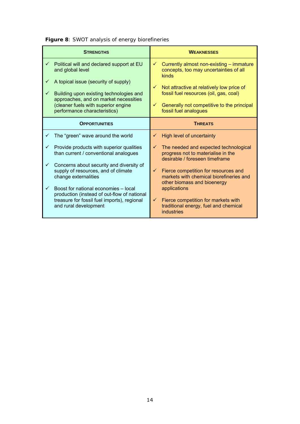|              | <b>STRENGTHS</b>                                                                                                                                                                                |                   | <b>WEAKNESSES</b>                                                                                                                                          |
|--------------|-------------------------------------------------------------------------------------------------------------------------------------------------------------------------------------------------|-------------------|------------------------------------------------------------------------------------------------------------------------------------------------------------|
| ✓            | Political will and declared support at EU<br>and global level                                                                                                                                   | $\checkmark$      | Currently almost non-existing - immature<br>concepts, too may uncertainties of all<br>kinds                                                                |
| ✓<br>✓       | A topical issue (security of supply)<br>Building upon existing technologies and<br>approaches, and on market necessities<br>(cleaner fuels with superior engine<br>performance characteristics) | $\checkmark$<br>✓ | Not attractive at relatively low price of<br>fossil fuel resources (oil, gas, coal)<br>Generally not competitive to the principal<br>fossil fuel analogues |
|              | <b>OPPORTUNITIES</b>                                                                                                                                                                            |                   | <b>THREATS</b>                                                                                                                                             |
| ✓            | The "green" wave around the world                                                                                                                                                               | ✓                 | High level of uncertainty                                                                                                                                  |
| $\checkmark$ | Provide products with superior qualities<br>than current / conventional analogues                                                                                                               | ✓                 | The needed and expected technological<br>progress not to materialise in the<br>desirable / foreseen timeframe                                              |
| $\checkmark$ | Concerns about security and diversity of<br>supply of resources, and of climate<br>change externalities                                                                                         | ✓                 | Fierce competition for resources and<br>markets with chemical biorefineries and<br>other biomass and bioenergy                                             |
| $\checkmark$ | Boost for national economies - local<br>production (instead of out-flow of national<br>treasure for fossil fuel imports), regional<br>and rural development                                     | $\checkmark$      | applications<br>Fierce competition for markets with<br>traditional energy, fuel and chemical<br><b>industries</b>                                          |

*Figure 8: SWOT analysis of energy biorefineries*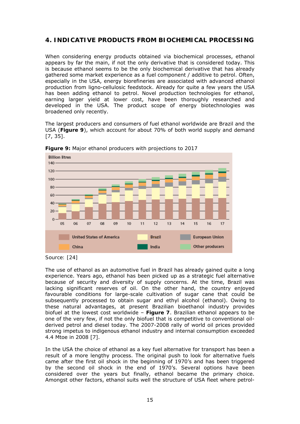## **4. INDICATIVE PRODUCTS FROM BIOCHEMICAL PROCESSING**

When considering energy products obtained via biochemical processes, ethanol appears by far the main, if not the only derivative that is considered today. This is because ethanol seems to be the only biochemical derivative that has already gathered some market experience as a fuel component / additive to petrol. Often, especially in the USA, energy biorefineries are associated with advanced ethanol production from ligno-cellulosic feedstock. Already for quite a few years the USA has been adding ethanol to petrol. Novel production technologies for ethanol, earning larger yield at lower cost, have been thoroughly researched and developed in the USA. The product scope of energy biotechnologies was broadened only recently.

The largest producers and consumers of fuel ethanol worldwide are Brazil and the USA (*Figure 9*), which account for about 70% of both world supply and demand [7, 35].



*Figure 9: Major ethanol producers with projections to 2017* 

The use of ethanol as an automotive fuel in Brazil has already gained quite a long experience. Years ago, ethanol has been picked up as a strategic fuel alternative because of security and diversity of supply concerns. At the time, Brazil was lacking significant reserves of oil. On the other hand, the country enjoyed favourable conditions for large-scale cultivation of sugar cane that could be subsequently processed to obtain sugar and ethyl alcohol (ethanol). Owing to these natural advantages, at present Brazilian bioethanol industry provides biofuel at the lowest cost worldwide – *Figure 7*. Brazilian ethanol appears to be one of the very few, if not the only biofuel that is competitive to conventional oilderived petrol and diesel today. The 2007-2008 rally of world oil prices provided strong impetus to indigenous ethanol industry and internal consumption exceeded 4.4 Mtoe in 2008 [7].

In the USA the choice of ethanol as a key fuel alternative for transport has been a result of a more lengthy process. The original push to look for alternative fuels came after the first oil shock in the beginning of 1970's and has been triggered by the second oil shock in the end of 1970's. Several options have been considered over the years but finally, ethanol became the primary choice. Amongst other factors, ethanol suits well the structure of USA fleet where petrol-

*Source: [24]*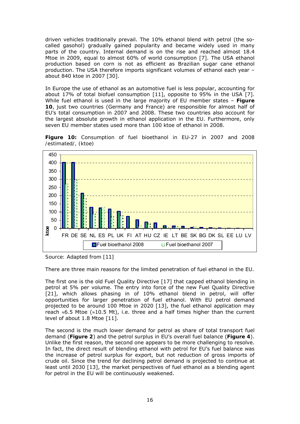driven vehicles traditionally prevail. The 10% ethanol blend with petrol (the socalled gasohol) gradually gained popularity and became widely used in many parts of the country. Internal demand is on the rise and reached almost 18.4 Mtoe in 2009, equal to almost 60% of world consumption [7]. The USA ethanol production based on corn is not as efficient as Brazilian sugar cane ethanol production. The USA therefore imports significant volumes of ethanol each year – about 840 ktoe in 2007 [30].

In Europe the use of ethanol as an automotive fuel is less popular, accounting for about 17% of total biofuel consumption [11], opposite to 95% in the USA [7]. While fuel ethanol is used in the large majority of EU member states – *Figure 10*, just two countries (Germany and France) are responsible for almost half of EU's total consumption in 2007 and 2008. These two countries also account for the largest absolute growth in ethanol application in the EU. Furthermore, only seven EU member states used more than 100 ktoe of ethanol in 2008.





*Source: Adapted from [11]* 

There are three main reasons for the limited penetration of fuel ethanol in the EU.

The first one is the old Fuel Quality Directive [17] that capped ethanol blending in petrol at 5% per volume. The entry into force of the new Fuel Quality Directive [21], which allows phasing in of 10% ethanol blend in petrol, will offer opportunities for larger penetration of fuel ethanol. With EU petrol demand projected to be around 100 Mtoe in 2020 [13], the fuel ethanol application may reach ≈6.5 Mtoe (≈10.5 Mt), i.e. three and a half times higher than the current level of about 1.8 Mtoe [11].

The second is the much lower demand for petrol as share of total transport fuel demand (*Figure 2*) and the petrol surplus in EU's overall fuel balance (*Figure 4*). Unlike the first reason, the second one appears to be more challenging to resolve. In fact, the direct result of blending ethanol with petrol for EU's fuel balance was the increase of petrol surplus for export, but not reduction of gross imports of crude oil. Since the trend for declining petrol demand is projected to continue at least until 2030 [13], the market perspectives of fuel ethanol as a blending agent for petrol in the EU will be continuously weakened.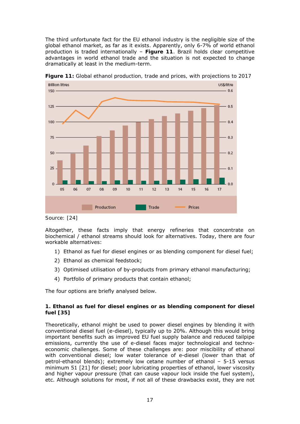The third unfortunate fact for the EU ethanol industry is the negligible size of the global ethanol market, as far as it exists. Apparently, only 6-7% of world ethanol production is traded internationally – *Figure 11*. Brazil holds clear competitive advantages in world ethanol trade and the situation is not expected to change dramatically at least in the medium-term.



*Figure 11: Global ethanol production, trade and prices, with projections to 2017* 

*Source: [24]* 

Altogether, these facts imply that energy refineries that concentrate on biochemical / ethanol streams should look for alternatives. Today, there are four workable alternatives:

- 1) Ethanol as fuel for diesel engines or as blending component for diesel fuel;
- 2) Ethanol as chemical feedstock;
- 3) Optimised utilisation of by-products from primary ethanol manufacturing;
- 4) Portfolio of primary products that contain ethanol;

The four options are briefly analysed below.

### **1. Ethanol as fuel for diesel engines or as blending component for diesel fuel [35]**

Theoretically, ethanol might be used to power diesel engines by blending it with conventional diesel fuel (e-diesel), typically up to 20%. Although this would bring important benefits such as improved EU fuel supply balance and reduced tailpipe emissions, currently the use of e-diesel faces major technological and technoeconomic challenges. Some of these challenges are: poor miscibility of ethanol with conventional diesel; low water tolerance of e-diesel (lower than that of petrol-ethanol blends); extremely low cetane number of ethanol – 5-15 versus minimum 51 [21] for diesel; poor lubricating properties of ethanol, lower viscosity and higher vapour pressure (that can cause vapour lock inside the fuel system), etc. Although solutions for most, if not all of these drawbacks exist, they are not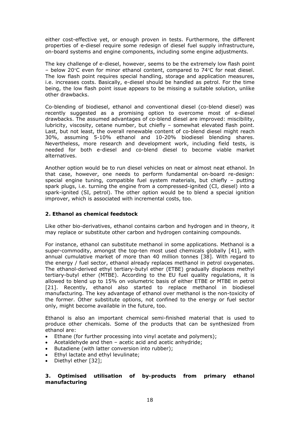either cost-effective yet, or enough proven in tests. Furthermore, the different properties of e-diesel require some redesign of diesel fuel supply infrastructure, on-board systems and engine components, including some engine adjustments.

The key challenge of e-diesel, however, seems to be the extremely low flash point – below 20°C even for minor ethanol content, compared to 74°C for neat diesel. The low flash point requires special handling, storage and application measures, i.e. increases costs. Basically, e-diesel should be handled as petrol. For the time being, the low flash point issue appears to be missing a suitable solution, unlike other drawbacks.

Co-blending of biodiesel, ethanol and conventional diesel (co-blend diesel) was recently suggested as a promising option to overcome most of e-diesel drawbacks. The assumed advantages of co-blend diesel are improved: miscibility, lubricity, viscosity, cetane number, but chiefly – somewhat elevated flash point. Last, but not least, the overall renewable content of co-blend diesel might reach 30%, assuming 5-10% ethanol and 10-20% biodiesel blending shares. Nevertheless, more research and development work, including field tests, is needed for both e-diesel and co-blend diesel to become viable market alternatives.

Another option would be to run diesel vehicles on neat or almost neat ethanol. In that case, however, one needs to perform fundamental on-board re-design: special engine tuning, compatible fuel system materials, but chiefly – putting spark plugs, i.e. turning the engine from a compressed-ignited (CI, diesel) into a spark-ignited (SI, petrol). The other option would be to blend a special ignition improver, which is associated with incremental costs, too.

#### **2. Ethanol as chemical feedstock**

Like other bio-derivatives, ethanol contains carbon and hydrogen and in theory, it may replace or substitute other carbon and hydrogen containing compounds.

For instance, ethanol can substitute methanol in some applications. Methanol is a super-commodity, amongst the top-ten most used chemicals globally [41], with annual cumulative market of more than 40 million tonnes [38]. With regard to the energy / fuel sector, ethanol already replaces methanol in petrol oxygenates. The ethanol-derived ethyl tertiary-butyl ether (ETBE) gradually displaces methyl tertiary-butyl ether (MTBE). According to the EU fuel quality regulations, it is allowed to blend up to 15% on volumetric basis of either ETBE or MTBE in petrol [21]. Recently, ethanol also started to replace methanol in biodiesel manufacturing. The key advantage of ethanol over methanol is the non-toxicity of the former. Other substitute options, not confined to the energy or fuel sector only, might become available in the future, too.

Ethanol is also an important chemical semi-finished material that is used to produce other chemicals. Some of the products that can be synthesized from ethanol are:

- Ethane (for further processing into vinyl acetate and polymers);
- Acetaldehyde and then acetic acid and acetic anhydride;
- Butadiene (with latter conversion into rubber);
- Ethyl lactate and ethyl levulinate;
- Diethyl ether [32];

#### **3. Optimised utilisation of by-products from primary ethanol manufacturing**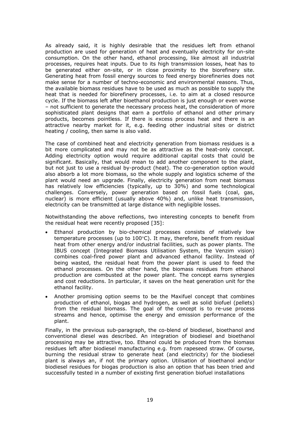As already said, it is highly desirable that the residues left from ethanol production are used for generation of heat and eventually electricity for on-site consumption. On the other hand, ethanol processing, like almost all industrial processes, requires heat inputs. Due to its high transmission losses, heat has to be generated either on-site, or in close proximity to the biorefinery site. Generating heat from fossil energy sources to feed energy biorefineries does not make sense for a number of techno-economic and environmental reasons. Thus, the available biomass residues have to be used as much as possible to supply the heat that is needed for biorefinery processes, i.e. to aim at a closed resource cycle. If the biomass left after bioethanol production is just enough or even worse – not sufficient to generate the necessary process heat, the consideration of more sophisticated plant designs that earn a portfolio of ethanol *and* other primary products, becomes pointless. If there is excess process heat and there is an attractive nearby market for it, e.g. feeding other industrial sites or district heating / cooling, then same is also valid.

The case of combined heat and electricity generation from biomass residues is a bit more complicated and may not be as attractive as the heat-only concept. Adding electricity option would require additional capital costs that could be significant. Basically, that would mean to add another component to the plant, but not just to use a residual by-product (heat). The co-generation option would also absorb a lot more biomass, so the whole supply and logistics scheme of the plant would need an upgrade. Finally, electricity generation from neat biomass has relatively low efficiencies (typically, up to 30%) and some technological challenges. Conversely, power generation based on fossil fuels (coal, gas, nuclear) is more efficient (usually above 40%) and, unlike heat transmission, electricity can be transmitted at large distance with negligible losses.

Notwithstanding the above reflections, two interesting concepts to benefit from the residual heat were recently proposed [35]:

- Ethanol production by bio-chemical processes consists of relatively low temperature processes (up to 100°C). It may, therefore, benefit from residual heat from other energy and/or industrial facilities, such as power plants. The IBUS concept (Integrated Biomass Utilisation System, the Venzim vision) combines coal-fired power plant and advanced ethanol facility. Instead of being wasted, the residual heat from the power plant is used to feed the ethanol processes. On the other hand, the biomass residues from ethanol production are combusted at the power plant. The concept earns synergies and cost reductions. In particular, it saves on the heat generation unit for the ethanol facility.
- Another promising option seems to be the Maxifuel concept that combines production of ethanol, biogas and hydrogen, as well as solid biofuel (pellets) from the residual biomass. The goal of the concept is to re-use process streams and hence, optimise the energy and emission performance of the plant.

Finally, in the previous sub-paragraph, the co-blend of biodiesel, bioethanol and conventional diesel was described. An integration of biodiesel and bioethanol processing may be attractive, too. Ethanol could be produced from the biomass residues left after biodiesel manufacturing e.g. from rapeseed straw. Of course, burning the residual straw to generate heat (and electricity) for the biodiesel plant is always an, if not the primary option. Utilisation of bioethanol and/or biodiesel residues for biogas production is also an option that has been tried and successfully tested in a number of existing first generation biofuel installations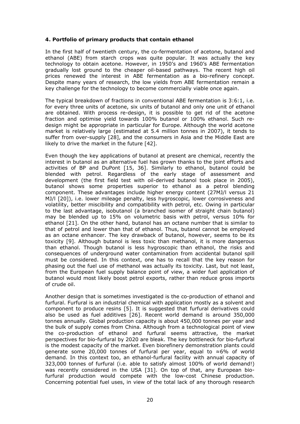#### **4. Portfolio of primary products that contain ethanol**

In the first half of twentieth century, the co-fermentation of acetone, butanol and ethanol (ABE) from starch crops was quite popular. It was actually the key technology to obtain acetone. However, in 1950's and 1960's ABE fermentation gradually lost ground to the cheaper oil-based pathways. The recent high oil prices renewed the interest in ABE fermentation as a bio-refinery concept. Despite many years of research, the low yields from ABE fermentation remain a key challenge for the technology to become commercially viable once again.

The typical breakdown of fractions in conventional ABE fermentation is 3:6:1, i.e. for every three units of acetone, six units of butanol and only one unit of ethanol are obtained. With process re-design, it is possible to get rid of the acetone fraction and optimise yield towards 100% butanol or 100% ethanol. Such redesign might be appropriate in particular for Europe. Although the world acetone market is relatively large (estimated at 5.4 million tonnes in 2007), it tends to suffer from over-supply [28], and the consumers in Asia and the Middle East are likely to drive the market in the future [42].

Even though the key applications of butanol at present are chemical, recently the interest in butanol as an alternative fuel has grown thanks to the joint efforts and activities of BP and DuPont [15, 36]. Similarly to ethanol, butanol could be blended with petrol. Regardless of the early stage of assessment and development (the first field test with *oil*-derived butanol took place in 2005), butanol shows some properties superior to ethanol as a petrol blending component. These advantages include higher energy content (27MJ/l versus 21 MJ/l [20]), i.e. lower mileage penalty, less hygroscopic, lower corrosiveness and volatility, better miscibility and compatibility with petrol, etc. Owing in particular to the last advantage, isobutanol (a branched isomer of straight chain butanol) may be blended up to 15% on volumetric basis with petrol, versus 10% for ethanol [21]. On the other hand, butanol has an octane number that is similar to that of petrol and lower than that of ethanol. Thus, butanol cannot be employed as an octane enhancer. The key drawback of butanol, however, seems to be its toxicity [9]. Although butanol is less toxic than methanol, it is more dangerous than ethanol. Though butanol is less hygroscopic than ethanol, the risks and consequences of underground water contamination from accidental butanol spill must be considered. In this context, one has to recall that the key reason for phasing out the fuel use of methanol was actually its toxicity. Last, but not least, from the European fuel supply balance point of view, a wider fuel application of butanol would most likely boost petrol exports, rather than reduce gross imports of crude oil.

Another design that is sometimes investigated is the co-production of ethanol and furfural. Furfural is an industrial chemical with application mostly as a solvent and component to produce resins [5]. It is suggested that furfural derivatives could also be used as fuel additives [26]. Recent world demand is around 350,000 tonnes annually. Global production capacity is about 450,000 tonnes per year and the bulk of supply comes from China. Although from a technological point of view the co-production of ethanol and furfural seems attractive, the market perspectives for bio-furfural by 2020 are bleak. The key bottleneck for bio-furfural is the modest capacity of the market. Even biorefinery demonstration plants could generate some 20,000 tonnes of furfural per year, equal to ≈6% of world demand. In this context too, an ethanol-furfural facility with annual capacity of 323,000 tonnes of furfural (i.e. able to satisfy almost 100% of world demand!) was recently considered in the USA [31]. On top of that, any European biofurfural production would compete with the low-cost Chinese production. Concerning potential fuel uses, in view of the total lack of any thorough research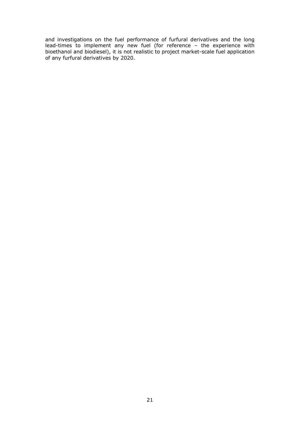and investigations on the fuel performance of furfural derivatives and the long lead-times to implement any new fuel (for reference – the experience with bioethanol and biodiesel), it is not realistic to project market-scale fuel application of any furfural derivatives by 2020.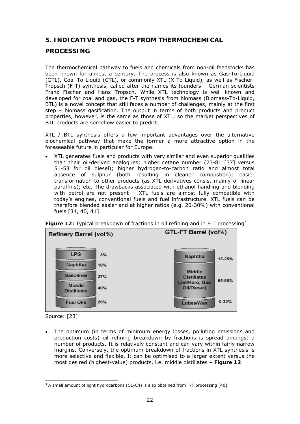## **5. INDICATIVE PRODUCTS FROM THERMOCHEMICAL**

## **PROCESSING**

The thermochemical pathway to fuels and chemicals from non-oil feedstocks has been known for almost a century. The process is also known as Gas-To-Liquid (GTL), Coal-To-Liquid (CTL), or commonly XTL (X-To-Liquid), as well as Fischer-Tropsch (F-T) synthesis, called after the names its founders – German scientists Franz Fischer and Hans Tropsch. While XTL technology is well known and developed for coal and gas, the F-T synthesis from biomass (Biomass-To-Liquid, BTL) is a novel concept that still faces a number of challenges, mainly at the first step – biomass gasification. The output in terms of both products and product properties, however, is the same as those of XTL, so the market perspectives of BTL products are somehow easier to predict.

XTL / BTL synthesis offers a few important advantages over the alternative biochemical pathway that make the former a more attractive option in the foreseeable future in particular for Europe.

• XTL generates fuels and products with very similar and even superior qualities than their oil-derived analogues: higher cetane number (73-81 [37] versus 51-53 for oil diesel); higher hydrogen-to-carbon ratio and almost total absence of sulphur (both resulting in cleaner combustion); easier transformation to other products (as XTL derivatives consist mainly of linear paraffins); etc. The drawbacks associated with ethanol handling and blending with petrol are not present – XTL fuels are almost fully compatible with today's engines, conventional fuels and fuel infrastructure. XTL fuels can be therefore blended easier and at higher ratios (e.g. 20-30%) with conventional fuels [34, 40, 41].



*Figure 12: Typical breakdown of fractions in oil refining and in F-T processing3*

• The optimum (in terms of minimum energy losses, polluting emissions and production costs) oil refining breakdown by fractions is spread amongst a number of products. It is relatively constant and can vary within fairly narrow margins. Conversely, the optimum breakdown of fractions in XTL synthesis is more selective and flexible. It can be optimised to a larger extent versus the most desired (highest-value) products, i.e. middle distillates – *Figure 12*.

Source: [23]

  $3$  A small amount of light hydrocarbons (C1-C4) is also obtained from F-T processing [40].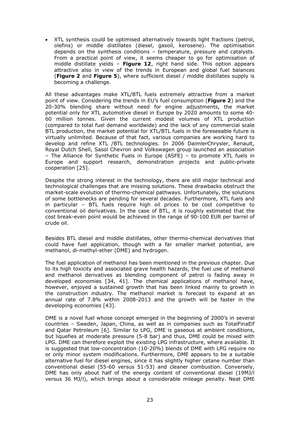• XTL synthesis could be optimised alternatively towards light fractions (petrol, olefins) or middle distillates (diesel, gasoil, kerosene). The optimisation depends on the synthesis conditions – temperature, pressure and catalysts. From a practical point of view, it seems cheaper to go for optimisation of middle distillate yields – *Figure 12*, right hand side. This option appears attractive also in view of the trends in European and global fuel balances (*Figure 2* and *Figure 5*), where sufficient diesel / middle distillates supply is becoming a challenge.

All these advantages make XTL/BTL fuels extremely attractive from a market point of view. Considering the trends in EU's fuel consumption (*Figure 2*) and the 20-30% blending share without need for engine adjustments, the market potential only for XTL automotive diesel in Europe by 2020 amounts to some 40- 60 million tonnes. Given the current modest volumes of XTL production (compared to total fuel demand worldwide) and the lack of any commercial scale BTL production, the market potential for XTL/BTL fuels in the foreseeable future is virtually unlimited. Because of that fact, various companies are working hard to develop and refine XTL /BTL technologies. In 2006 DaimlerChrysler, Renault, Royal Dutch Shell, Sasol Chevron and Volkswagen group launched an association – The Alliance for Synthetic Fuels in Europe (ASFE) – to promote XTL fuels in Europe and support research, demonstration projects and public-private cooperation [25].

Despite the strong interest in the technology, there are still major technical and technological challenges that are missing solutions. These drawbacks obstruct the market-scale evolution of thermo-chemical pathways. Unfortunately, the solutions of some bottlenecks are pending for several decades. Furthermore, XTL fuels and in particular – BTL fuels require high oil prices to be cost competitive to conventional oil derivatives. In the case of BTL, it is roughly estimated that the cost break-even point would be achieved in the range of 90-100 EUR per barrel of crude oil.

Besides BTL diesel and middle distillates, other thermo-chemical derivatives that could have fuel application, though with a far smaller market potential, are methanol, di-methyl-ether (DME) and hydrogen.

The fuel application of methanol has been mentioned in the previous chapter. Due to its high toxicity and associated grave health hazards, the fuel use of methanol and methanol derivatives as blending component of petrol is fading away in developed economies [34, 41]. The chemical applications of methanol have, however, enjoyed a sustained growth that has been linked mainly to growth in the construction industry. The methanol market is forecast to expand at an annual rate of 7.8% within 2008-2013 and the growth will be faster in the developing economies [43].

DME is a novel fuel whose concept emerged in the beginning of 2000's in several countries – Sweden, Japan, China, as well as in companies such as TotalFinaElf and Qatar Petroleum [6]. Similar to LPG, DME is gaseous at ambient conditions, but liquefies at moderate pressure (5-8 bar) and thus, DME could be mixed with LPG. DME can therefore exploit the existing LPG infrastructure, where available. It is suggested that low-concentration (10-20%) blends of DME with LPG require no or only minor system modifications. Furthermore, DME appears to be a suitable alternative fuel for diesel engines, since it has slightly higher cetane number than conventional diesel (55-60 versus 51-53) and cleaner combustion. Conversely, DME has only about half of the energy content of conventional diesel (19MJ/l versus 36 MJ/l), which brings about a considerable mileage penalty. Neat DME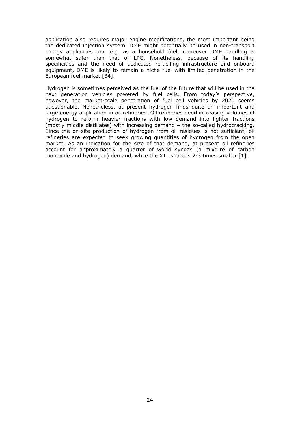application also requires major engine modifications, the most important being the dedicated injection system. DME might potentially be used in non-transport energy appliances too, e.g. as a household fuel, moreover DME handling is somewhat safer than that of LPG. Nonetheless, because of its handling specificities and the need of dedicated refuelling infrastructure and onboard equipment, DME is likely to remain a niche fuel with limited penetration in the European fuel market [34].

Hydrogen is sometimes perceived as the fuel of the future that will be used in the next generation vehicles powered by fuel cells. From today's perspective, however, the market-scale penetration of fuel cell vehicles by 2020 seems questionable. Nonetheless, at present hydrogen finds quite an important and large energy application in oil refineries. Oil refineries need increasing volumes of hydrogen to reform heavier fractions with low demand into lighter fractions (mostly middle distillates) with increasing demand – the so-called hydrocracking. Since the on-site production of hydrogen from oil residues is not sufficient, oil refineries are expected to seek growing quantities of hydrogen from the open market. As an indication for the size of that demand, at present oil refineries account for approximately a quarter of world syngas (a mixture of carbon monoxide and hydrogen) demand, while the XTL share is 2-3 times smaller [1].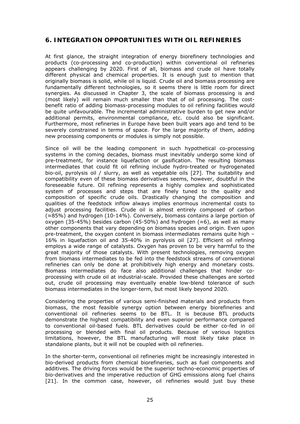## **6. INTEGRATION OPPORTUNITIES WITH OIL REFINERIES**

At first glance, the straight integration of energy biorefinery technologies and products (co-processing and co-production) within conventional oil refineries appears challenging by 2020. First of all, biomass and crude oil have totally different physical and chemical properties. It is enough just to mention that originally biomass is solid, while oil is liquid. Crude oil and biomass processing are fundamentally different technologies, so it seems there is little room for direct synergies. As discussed in Chapter 3, the scale of biomass processing is and (most likely) will remain much smaller than that of oil processing. The costbenefit ratio of adding biomass-processing modules to oil refining facilities would be quite unfavourable. The incremental administrative burden to get new and/or additional permits, environmental compliance, etc. could also be significant. Furthermore, most refineries in Europe have been built years ago and tend to be severely constrained in terms of space. For the large majority of them, adding new processing components or modules is simply not possible.

Since oil will be the leading component in such hypothetical co-processing systems in the coming decades, biomass must inevitably undergo some kind of pre-treatment, for instance liquefaction or gasification. The resulting biomass intermediates that could fit oil refining include hydro-treated or hydrogenated bio-oil, pyrolysis oil / slurry, as well as vegetable oils [27]. The suitability and compatibility even of these biomass derivatives seems, however, doubtful in the foreseeable future. Oil refining represents a highly complex and sophisticated system of processes and steps that are finely tuned to the quality and composition of specific crude oils. Drastically changing the composition and qualities of the feedstock inflow always implies enormous incremental costs to adjust processing facilities. Crude oil is almost entirely composed of carbon (≈85%) and hydrogen (10-14%). Conversely, biomass contains a large portion of oxygen (35-45%) besides carbon (45-50%) and hydrogen ( $\approx$ 6), as well as many other components that vary depending on biomass species and origin. Even upon pre-treatment, the oxygen content in biomass intermediates remains quite high – 16% in liquefaction oil and 35-40% in pyrolysis oil [27]. Efficient oil refining employs a wide range of catalysts. Oxygen has proven to be very harmful to the great majority of those catalysts. With present technologies, removing oxygen from biomass intermediates to be fed into the feedstock streams of conventional refineries can only be done at prohibitively high energy and monetary costs. Biomass intermediates do face also additional challenges that hinder coprocessing with crude oil at industrial-scale. Provided these challenges are sorted out, crude oil processing may eventually enable low-blend tolerance of such biomass intermediates in the longer-term, but most likely beyond 2020.

Considering the properties of various semi-finished materials and products from biomass, the most feasible synergy option between energy biorefineries and conventional oil refineries seems to be BTL. It is because BTL products demonstrate the highest compatibility and even superior performance compared to conventional oil-based fuels. BTL derivatives could be either co-fed in oil processing or blended with final oil products. Because of various logistics limitations, however, the BTL manufacturing will most likely take place in standalone plants, but it will not be coupled with oil refineries.

In the shorter-term, conventional oil refineries might be increasingly interested in bio-derived products from chemical biorefineries, such as fuel components and additives. The driving forces would be the superior techno-economic properties of bio-derivatives and the imperative reduction of GHG emissions along fuel chains [21]. In the common case, however, oil refineries would just buy these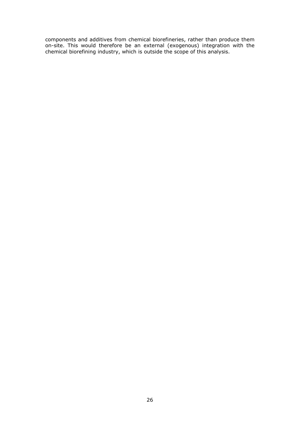components and additives from chemical biorefineries, rather than produce them on-site. This would therefore be an external (exogenous) integration with the chemical biorefining industry, which is outside the scope of this analysis.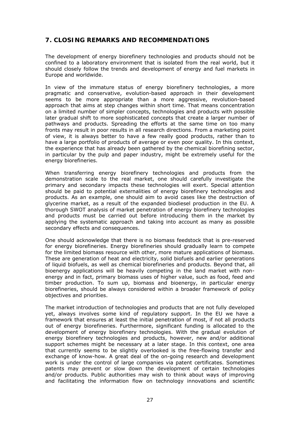## **7. CLOSING REMARKS AND RECOMMENDATIONS**

The development of energy biorefinery technologies and products should not be confined to a laboratory environment that is isolated from the real world, but it should closely follow the trends and development of energy and fuel markets in Europe and worldwide.

In view of the immature status of energy biorefinery technologies, a more pragmatic and conservative, evolution-based approach in their development seems to be more appropriate than a more aggressive, revolution-based approach that aims at step changes within short time. That means concentration on a limited number of simpler concepts, technologies and products with possible later gradual shift to more sophisticated concepts that create a larger number of pathways and products. Spreading the efforts at the same time on too many fronts may result in poor results in all research directions. From a marketing point of view, it is always better to have a few really good products, rather than to have a large portfolio of products of average or even poor quality. In this context, the experience that has already been gathered by the chemical biorefining sector, in particular by the pulp and paper industry, might be extremely useful for the energy biorefineries.

When transferring energy biorefinery technologies and products from the demonstration scale to the real market, one should carefully investigate the primary and secondary impacts these technologies will exert. Special attention should be paid to potential externalities of energy biorefinery technologies and products. As an example, one should aim to avoid cases like the destruction of glycerine market, as a result of the expanded biodiesel production in the EU. A thorough SWOT analysis of market penetration of energy biorefinery technologies and products must be carried out before introducing them in the market by applying the systematic approach and taking into account as many as possible secondary effects and consequences.

One should acknowledge that there is no biomass feedstock that is pre-reserved for energy biorefineries. Energy biorefineries should gradually learn to compete for the limited biomass resource with other, more mature applications of biomass. These are generation of heat and electricity, solid biofuels and earlier generations of liquid biofuels, as well as chemical biorefineries and products. Beyond that, all bioenergy applications will be heavily competing in the land market with nonenergy and in fact, primary biomass uses of higher value, such as food, feed and timber production. To sum up, biomass and bioenergy, in particular energy biorefineries, should be always considered within a broader framework of policy objectives and priorities.

The market introduction of technologies and products that are not fully developed yet, always involves some kind of regulatory support. In the EU we have a framework that ensures at least the initial penetration of most, if not all products out of energy biorefineries. Furthermore, significant funding is allocated to the development of energy biorefinery technologies. With the gradual evolution of energy biorefinery technologies and products, however, new and/or additional support schemes might be necessary at a later stage. In this context, one area that currently seems to be slightly overlooked is the free-flowing transfer and exchange of know-how. A great deal of the on-going research and development work is under the control of large companies via patent certificates. Sometimes patents may prevent or slow down the development of certain technologies and/or products. Public authorities may wish to think about ways of improving and facilitating the information flow on technology innovations and scientific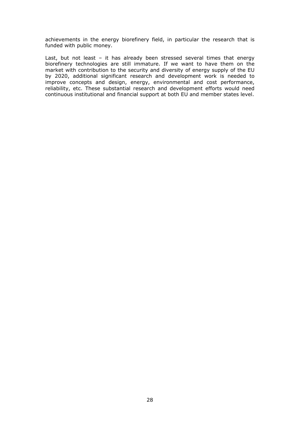achievements in the energy biorefinery field, in particular the research that is funded with public money.

Last, but not least – it has already been stressed several times that energy biorefinery technologies are still immature. If we want to have them on the market with contribution to the security and diversity of energy supply of the EU by 2020, additional significant research and development work is needed to improve concepts and design, energy, environmental and cost performance, reliability, etc. These substantial research and development efforts would need continuous institutional and financial support at both EU and member states level.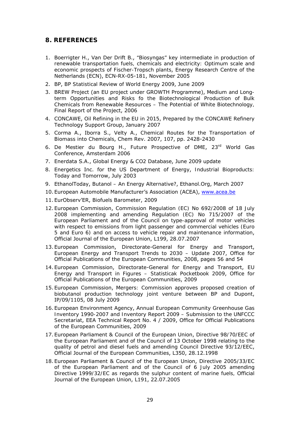## **8. REFERENCES**

- 1. Boerrigter H., Van Der Drift B., *"Biosyngas" key intermediate in production of renewable transportation fuels, chemicals and electricity: Optimum scale and economic prospects of Fischer-Tropsch plants*, Energy Research Centre of the Netherlands (ECN), ECN-RX-05-181, November 2005
- 2. BP, *BP Statistical Review of World Energy 2009*, June 2009
- 3. BREW Project (an EU project under GROWTH Programme), *Medium and Longterm Opportunities and Risks fo the Biotechnological Production of Bulk Chemicals from Renewable Resources – The Potential of White Biotechnology,*  Final Report of the Project, 2006
- 4. CONCAWE, *Oil Refining in the EU in 2015*, Prepared by the CONCAWE Refinery Technology Support Group, January 2007
- 5. Corma A., Iborra S., Velty A., *Chemical Routes for the Transportation of Biomass into Chemicals*, Chem Rev. 2007, 107, pp. 2428-2430
- 6. De Mestier du Bourg H., *Future Prospective of DME*, 23rd World Gas Conference, Amsterdam 2006
- 7. Enerdata S.A., *Global Energy & CO2 Database*, June 2009 update
- 8. Energetics Inc. for the US Department of Energy, *Industrial Bioproducts: Today and Tomorrow*, July 2003
- 9. EthanolToday, *Butanol An Energy Alternative?*, Ethanol.Org, March 2007
- 10. European Automobile Manufacturer's Association (ACEA), www.acea.be
- 11. EurObserv'ER, *Biofuels Barometer*, 2009
- 12. European Commission, *Commission Regulation (EC) No 692/2008 of 18 July 2008 implementing and amending Regulation (EC) No 715/2007 of the European Parliament and of the Council on type-approval of motor vehicles with respect to emissions from light passenger and commercial vehicles (Euro 5 and Euro 6) and on access to vehicle repair and maintenance information*, Official Journal of the European Union, L199, 28.07.2007
- 13. European Commission, Directorate-General for Energy and Transport, *European Energy and Transport Trends to 2030 – Update 2007*, Office for Official Publications of the European Communities, 2008, pages 56 and 54
- 14. European Commission, Directorate-General for Energy and Transport, *EU Energy and Transport in Figures – Statisticak Pocketbook 2009*, Office for Official Publications of the European Communities, 2009
- 15. European Commission, *Mergers: Commission approves proposed creation of biobutanol production technology joint venture between BP and Dupont*, IP/09/1105, 08 July 2009
- 16. European Environment Agency, *Annual European Community Greenhouse Gas Inventory 1990-2007 and Inventory Report 2009 – Submission to the UNFCCC Secretariat*, EEA Technical Report No. 4 / 2009, Office for Official Publications of the European Communities, 2009
- 17. European Parliament & Council of the European Union, *Directive 98/70/EEC of the European Parliament and of the Council of 13 October 1998 relating to the quality of petrol and diesel fuels and amending Council Directive 93/12/EEC*, Official Journal of the European Communities, L350, 28.12.1998
- 18. European Parliament & Council of the European Union, *Directive 2005/33/EC of the European Parliament and of the Council of 6 July 2005 amending Directive 1999/32/EC as regards the sulphur content of marine fuels,* Official Journal of the European Union, L191, 22.07.2005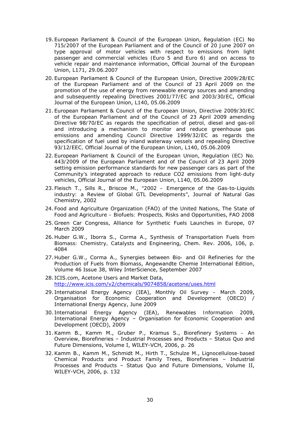- 19. European Parliament & Council of the European Union, *Regulation (EC) No 715/2007 of the European Parliament and of the Council of 20 June 2007 on type approval of motor vehicles with respect to emissions from light passenger and commercial vehicles (Euro 5 and Euro 6) and on access to vehicle repair and maintenance information*, Official Journal of the European Union, L171, 29.06.2007
- 20. European Parliament & Council of the European Union, *Directive 2009/28/EC of the European Parliament and of the Council of 23 April 2009 on the promotion of the use of energy from renewable energy sources and amending and subsequently repealing Directives 2001/77/EC and 2003/30/EC*, Official Journal of the European Union, L140, 05.06.2009
- 21. European Parliament & Council of the European Union, *Directive 2009/30/EC of the European Parliament and of the Council of 23 April 2009 amending Directive 98/70/EC as regards the specification of petrol, diesel and gas-oil and introducing a mechanism to monitor and reduce greenhouse gas emissions and amending Council Directive 1999/32/EC as regards the specification of fuel used by inland waterway vessels and repealing Directive 93/12/EEC,* Official Journal of the European Union, L140, 05.06.2009
- 22. European Parliament & Council of the European Union, *Regulation (EC) No. 443/2009 of the European Parliament and of the Council of 23 April 2009 setting emission performance standards for new passenger cars as part of the Community's integrated approach to reduce CO2 emissions from light-duty vehicles*, Official Journal of the European Union, L140, 05.06.2009
- 23. Fleisch T., Sills R., Briscoe M., *"2002 Emergence of the Gas-to-Liquids industry: a Review of Global GTL Developments"*, Journal of Natural Gas Chemistry, 2002
- 24. Food and Agriculture Organization (FAO) of the United Nations, *The State of Food and Agriculture – Biofuels: Prospects, Risks and Opportunities*, FAO 2008
- 25. Green Car Congress, *Alliance for Synthetic Fuels Launches in Europe*, 07 March 2009
- 26. Huber G.W., Iborra S., Corma A., *Synthesis of Transportation Fuels from Biomass: Chemistry, Catalysts and Engineering*, Chem. Rev. 2006, 106, p. 4084
- 27. Huber G.W., Corma A., *Synergies between Bio- and Oil Refineries for the Production of Fuels from Biomass*, Angewandte Chemie International Edition, Volume 46 Issue 38, Wiley InterScience, September 2007
- 28. ICIS.com, *Acetone Users and Market Data*, http://www.icis.com/v2/chemicals/9074858/acetone/uses.html
- 29. International Energy Agency (IEA), *Monthly Oil Survey March 2009*, Organisation for Economic Cooperation and Development (OECD) / International Energy Agency, June 2009
- 30. International Energy Agency (IEA), *Renewables Information 2009*, International Energy Agency – Organisation for Economic Cooperation and Development (OECD), 2009
- 31.Kamm B., Kamm M., Gruber P., Kramus S., *Biorefinery Systems An Overview*, Biorefineries – Industrial Processes and Products – Status Quo and Future Dimensions, Volume I, WILEY-VCH, 2006, p. 26
- 32.Kamm B., Kamm M., Schmidt M., Hirth T., Schulze M., *Lignocellulose-based Chemical Products and Product Family Trees*, Biorefineries – Industrial Processes and Products – Status Quo and Future Dimensions, Volume II, WILEY-VCH, 2006, p. 132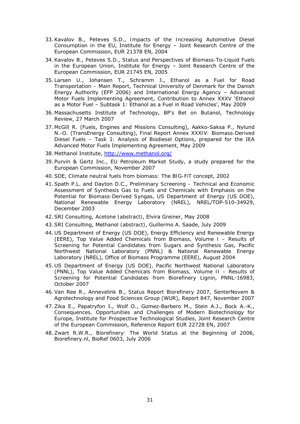- 33.Kavalov B., Peteves S.D., *Impacts of the Increasing Automotive Diesel Consumption in the EU*, Institute for Energy – Joint Research Centre of the European Commission, EUR 21378 EN, 2004
- 34.Kavalov B., Peteves S.D., *Status and Perspectives of Biomass-To-Liquid Fuels in the European Union*, Institute for Energy – Joint Research Centre of the European Commission, EUR 21745 EN, 2005
- 35. Larsen U., Johansen T., Schramm J., *Ethanol as a Fuel for Road Transportation – Main Report*, Technical University of Denmark for the Danish Energy Authority (EFP 2006) and International Energy Agency – Advanced Motor Fuels Implementing Agreement, Contribution to Annex XXXV 'Ethanol as a Motor Fuel – Subtask 1: Ethanol as a Fuel in Road Vehicles', May 2009
- 36. Massachusetts Institute of Technology, *BP's Bet on Butanol*, Technology Review, 27 March 2007
- 37. McGill R. (Fuels, Engines and Missions Consulting), Aakko-Saksa P., Nylund N.-O. (TransEnergy Consulting), *Final Report Annex XXXIV: Biomass-Derived Diesel Fuels – Task 1: Analysis of Biodiesel Options*, prepared for the IEA Advanced Motor Fuels Implementing Agreement, May 2009
- 38. Methanol Institute, http://www.methanol.org/
- 39. Purvin & Gertz Inc., *EU Petroleum Market Study*, a study prepared for the European Commission, November 2007
- 40.SDE, *Climate neutral fuels from biomass: The BIG-FiT concept*, 2002
- 41.Spath P.L. and Dayton D.C., *Preliminary Screening Technical and Economic Assessment of Synthesis Gas to Fuels and Chemicals with Emphasis on the Potential for Biomass-Derived Syngas*, US Department of Energy (US DOE), National Renewable Energy Laboratory (NREL), NREL/TOP-510-34929, December 2003
- 42.SRI Consulting, *Acetone (abstract)*, Elvira Greiner, May 2008
- 43.SRI Consulting, *Methanol (abstract)*, Guillermo A. Saade, July 2009
- 44. US Department of Energy (US DOE), Energy Efficiency and Renewable Energy (EERE), *Top Value Added Chemicals from Biomass, Volume I – Results of Screening for Potential Candidates from Sugars and Synthesis Gas*, Pacific Northwest National Laboratory (PNNL) & National Renewable Energy Laboratory (NREL), Office of Biomass Programme (EERE), August 2004
- 45. US Department of Energy (US DOE), Pacific Northwest National Laboratory (PNNL), *Top Value Added Chemicals from Biomass, Volume II – Results of Screening for Potential Candidates from Biorefinery Lignin*, PNNL-16983, October 2007
- 46.Van Ree R., Annevelink B., *Status Report Biorefinery 2007*, SenterNovem & Agrotechnology and Food Sciences Group (WUR), Report 847, November 2007
- 47.Zika E., Papatryfon I., Wolf O., Gomez-Barbero M., Stein A.J., Bock A.-K., *Consequences, Opportunities and Challenges of Modern Biotechnology for Europe*, Institute for Prospective Technological Studies, Joint Research Centre of the European Commission, Reference Report EUR 22728 EN, 2007
- 48.Zwart R.W.R., *Biorefinery: The World Status at the Beginning of 2006*, Biorefinery.nl, BioRef 0603, July 2006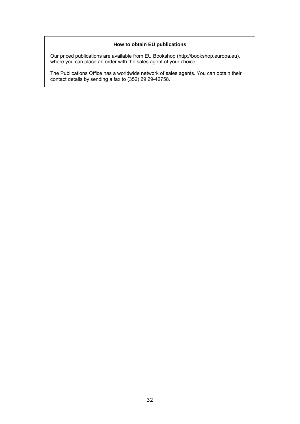#### **How to obtain EU publications**

Our priced publications are available from EU Bookshop (http://bookshop.europa.eu), where you can place an order with the sales agent of your choice.

The Publications Office has a worldwide network of sales agents. You can obtain their contact details by sending a fax to (352) 29 29-42758.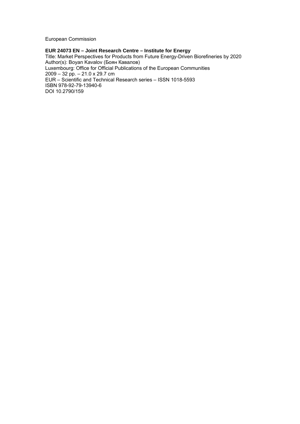European Commission

#### **EUR 24073 EN – Joint Research Centre – Institute for Energy**

Title: Market Perspectives for Products from Future Energy-Driven Biorefineries by 2020 Author(s): Boyan Kavalov (Боян Кавалов) Luxembourg: Office for Official Publications of the European Communities 2009 – 32 pp. – 21.0 x 29.7 cm EUR – Scientific and Technical Research series – ISSN 1018-5593 ISBN 978-92-79-13940-6 DOI 10.2790/159